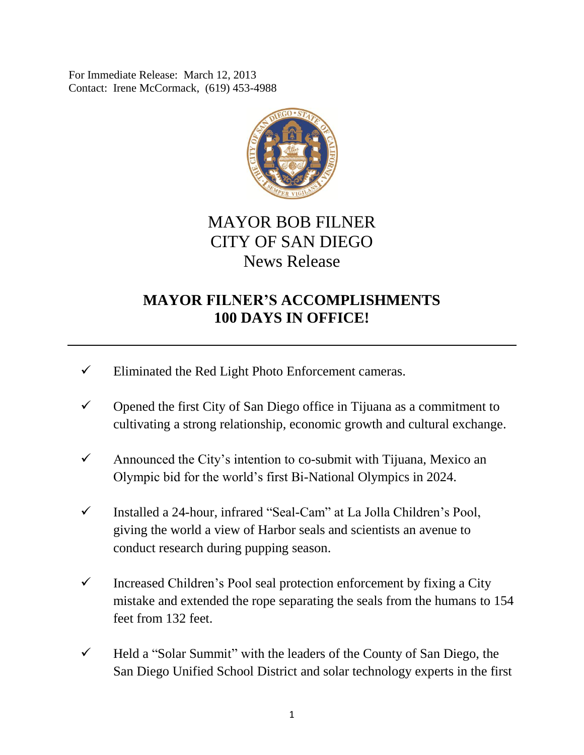For Immediate Release: March 12, 2013 Contact: Irene McCormack, (619) 453-4988



## MAYOR BOB FILNER CITY OF SAN DIEGO News Release

## **MAYOR FILNER'S ACCOMPLISHMENTS 100 DAYS IN OFFICE!**

- $\checkmark$  Eliminated the Red Light Photo Enforcement cameras.
- $\checkmark$  Opened the first City of San Diego office in Tijuana as a commitment to cultivating a strong relationship, economic growth and cultural exchange.
- $\checkmark$  Announced the City's intention to co-submit with Tijuana, Mexico an Olympic bid for the world's first Bi-National Olympics in 2024.
- Installed a 24-hour, infrared "Seal-Cam" at La Jolla Children's Pool, giving the world a view of Harbor seals and scientists an avenue to conduct research during pupping season.
- $\checkmark$  Increased Children's Pool seal protection enforcement by fixing a City mistake and extended the rope separating the seals from the humans to 154 feet from 132 feet.
- $\checkmark$  Held a "Solar Summit" with the leaders of the County of San Diego, the San Diego Unified School District and solar technology experts in the first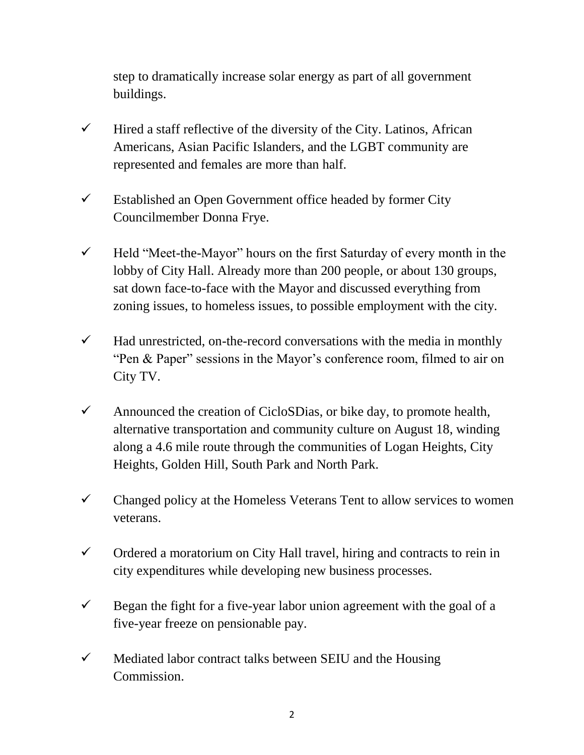step to dramatically increase solar energy as part of all government buildings.

- $\checkmark$  Hired a staff reflective of the diversity of the City. Latinos, African Americans, Asian Pacific Islanders, and the LGBT community are represented and females are more than half.
- $\checkmark$  Established an Open Government office headed by former City Councilmember Donna Frye.
- $\checkmark$  Held "Meet-the-Mayor" hours on the first Saturday of every month in the lobby of City Hall. Already more than 200 people, or about 130 groups, sat down face-to-face with the Mayor and discussed everything from zoning issues, to homeless issues, to possible employment with the city.
- $\checkmark$  Had unrestricted, on-the-record conversations with the media in monthly "Pen & Paper" sessions in the Mayor's conference room, filmed to air on City TV.
- $\checkmark$  Announced the creation of CicloSDias, or bike day, to promote health, alternative transportation and community culture on August 18, winding along a 4.6 mile route through the communities of Logan Heights, City Heights, Golden Hill, South Park and North Park.
- $\checkmark$  Changed policy at the Homeless Veterans Tent to allow services to women veterans.
- $\checkmark$  Ordered a moratorium on City Hall travel, hiring and contracts to rein in city expenditures while developing new business processes.
- $\checkmark$  Began the fight for a five-year labor union agreement with the goal of a five-year freeze on pensionable pay.
- $\checkmark$  Mediated labor contract talks between SEIU and the Housing Commission.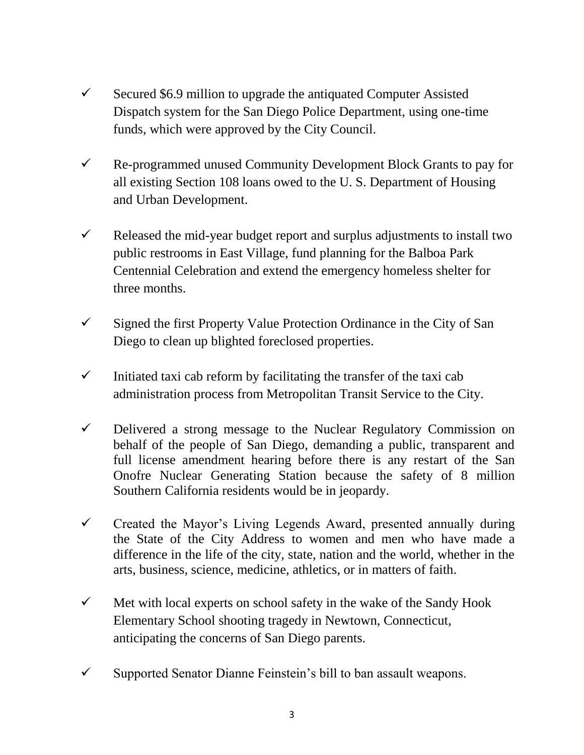- $\checkmark$  Secured \$6.9 million to upgrade the antiquated Computer Assisted Dispatch system for the San Diego Police Department, using one-time funds, which were approved by the City Council.
- $\checkmark$  Re-programmed unused Community Development Block Grants to pay for all existing Section 108 loans owed to the U. S. Department of Housing and Urban Development.
- $\checkmark$  Released the mid-year budget report and surplus adjustments to install two public restrooms in East Village, fund planning for the Balboa Park Centennial Celebration and extend the emergency homeless shelter for three months.
- $\checkmark$  Signed the first Property Value Protection Ordinance in the City of San Diego to clean up blighted foreclosed properties.
- $\checkmark$  Initiated taxi cab reform by facilitating the transfer of the taxi cab administration process from Metropolitan Transit Service to the City.
- $\checkmark$  Delivered a strong message to the Nuclear Regulatory Commission on behalf of the people of San Diego, demanding a public, transparent and full license amendment hearing before there is any restart of the San Onofre Nuclear Generating Station because the safety of 8 million Southern California residents would be in jeopardy.
- $\checkmark$  Created the Mayor's Living Legends Award, presented annually during the State of the City Address to women and men who have made a difference in the life of the city, state, nation and the world, whether in the arts, business, science, medicine, athletics, or in matters of faith.
- $\checkmark$  Met with local experts on school safety in the wake of the Sandy Hook Elementary School shooting tragedy in Newtown, Connecticut, anticipating the concerns of San Diego parents.
- $\checkmark$  Supported Senator Dianne Feinstein's bill to ban assault weapons.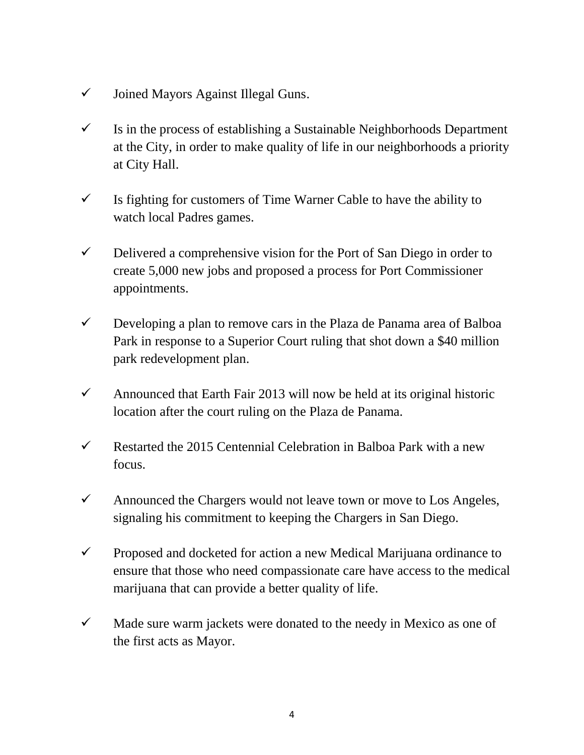- $\checkmark$  Joined Mayors Against Illegal Guns.
- $\checkmark$  Is in the process of establishing a Sustainable Neighborhoods Department at the City, in order to make quality of life in our neighborhoods a priority at City Hall.
- $\checkmark$  Is fighting for customers of Time Warner Cable to have the ability to watch local Padres games.
- $\checkmark$  Delivered a comprehensive vision for the Port of San Diego in order to create 5,000 new jobs and proposed a process for Port Commissioner appointments.
- $\checkmark$  Developing a plan to remove cars in the Plaza de Panama area of Balboa Park in response to a Superior Court ruling that shot down a \$40 million park redevelopment plan.
- $\checkmark$  Announced that Earth Fair 2013 will now be held at its original historic location after the court ruling on the Plaza de Panama.
- Restarted the 2015 Centennial Celebration in Balboa Park with a new focus.
- $\checkmark$  Announced the Chargers would not leave town or move to Los Angeles, signaling his commitment to keeping the Chargers in San Diego.
- $\checkmark$  Proposed and docketed for action a new Medical Marijuana ordinance to ensure that those who need compassionate care have access to the medical marijuana that can provide a better quality of life.
- $\checkmark$  Made sure warm jackets were donated to the needy in Mexico as one of the first acts as Mayor.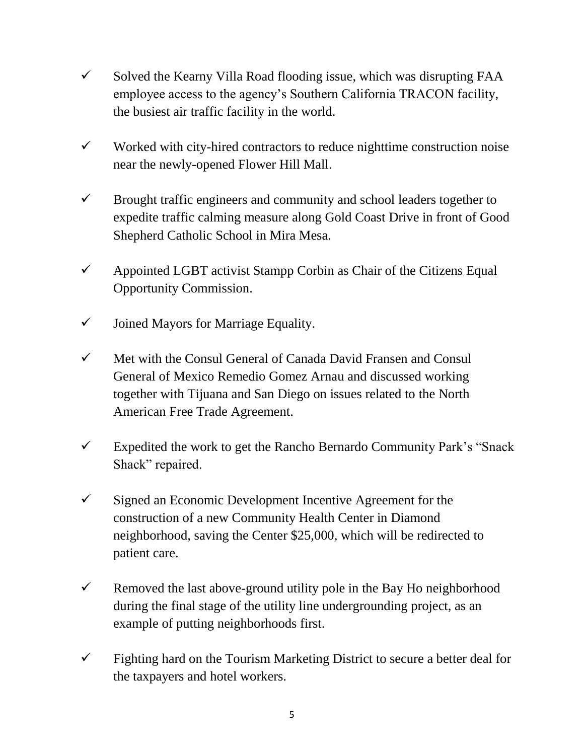- $\checkmark$  Solved the Kearny Villa Road flooding issue, which was disrupting FAA employee access to the agency's Southern California TRACON facility, the busiest air traffic facility in the world.
- $\checkmark$  Worked with city-hired contractors to reduce nighttime construction noise near the newly-opened Flower Hill Mall.
- $\checkmark$  Brought traffic engineers and community and school leaders together to expedite traffic calming measure along Gold Coast Drive in front of Good Shepherd Catholic School in Mira Mesa.
- $\checkmark$  Appointed LGBT activist Stampp Corbin as Chair of the Citizens Equal Opportunity Commission.
- $\checkmark$  Joined Mayors for Marriage Equality.
- $\checkmark$  Met with the Consul General of Canada David Fransen and Consul General of Mexico Remedio Gomez Arnau and discussed working together with Tijuana and San Diego on issues related to the North American Free Trade Agreement.
- Expedited the work to get the Rancho Bernardo Community Park's "Snack" Shack" repaired.
- $\checkmark$  Signed an Economic Development Incentive Agreement for the construction of a new Community Health Center in Diamond neighborhood, saving the Center \$25,000, which will be redirected to patient care.
- $\checkmark$  Removed the last above-ground utility pole in the Bay Ho neighborhood during the final stage of the utility line undergrounding project, as an example of putting neighborhoods first.
- $\checkmark$  Fighting hard on the Tourism Marketing District to secure a better deal for the taxpayers and hotel workers.